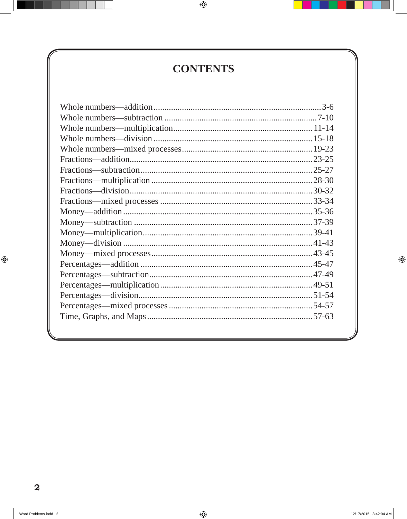## **CONTENTS**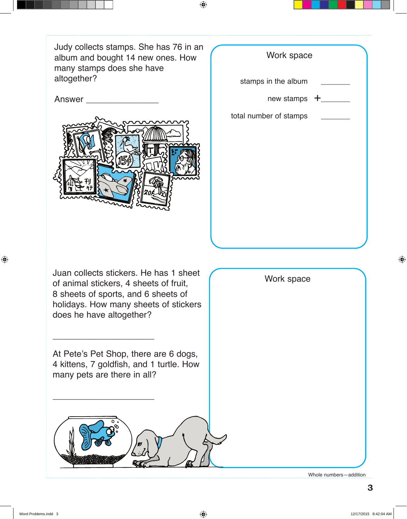Judy collects stamps. She has 76 in an album and bought 14 new ones. How many stamps does she have altogether?



| Work space                     |  |
|--------------------------------|--|
| stamps in the album            |  |
| new stamps $+$ <sub>____</sub> |  |
| total number of stamps         |  |
|                                |  |
|                                |  |
|                                |  |
|                                |  |
|                                |  |
|                                |  |
|                                |  |

Juan collects stickers. He has 1 sheet of animal stickers, 4 sheets of fruit, 8 sheets of sports, and 6 sheets of holidays. How many sheets of stickers does he have altogether?

At Pete's Pet Shop, there are 6 dogs, 4 kittens, 7 goldfish, and 1 turtle. How many pets are there in all?

\_\_\_\_\_\_\_\_\_\_\_\_\_\_\_\_\_\_\_\_\_

\_\_\_\_\_\_\_\_\_\_\_\_\_\_\_\_\_\_\_\_\_



Whole numbers—addition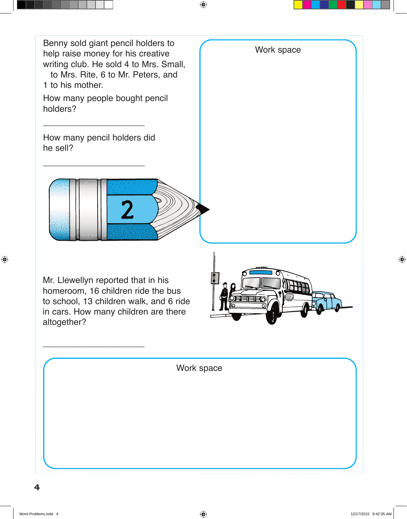![](_page_2_Picture_0.jpeg)

Mr. Llewellyn reported that in his homeroom, 16 children ride the bus to school, 13 children walk, and 6 ride in cars. How many children are there altogether?

\_\_\_\_\_\_\_\_\_\_\_\_\_\_\_\_\_\_\_\_\_

![](_page_2_Picture_2.jpeg)

Work space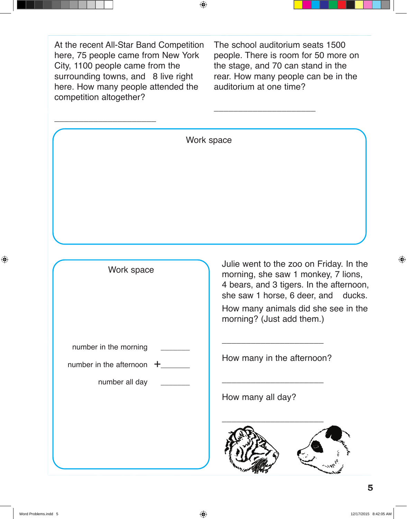At the recent All-Star Band Competition here, 75 people came from New York City, 1100 people came from the surrounding towns, and 8 live right here. How many people attended the competition altogether?

The school auditorium seats 1500 people. There is room for 50 more on the stage, and 70 can stand in the rear. How many people can be in the auditorium at one time?

 $\overline{\phantom{a}}$  , where  $\overline{\phantom{a}}$ 

| Work space                   |                                                                                                                                                                                                                                       |
|------------------------------|---------------------------------------------------------------------------------------------------------------------------------------------------------------------------------------------------------------------------------------|
|                              |                                                                                                                                                                                                                                       |
|                              |                                                                                                                                                                                                                                       |
|                              |                                                                                                                                                                                                                                       |
|                              |                                                                                                                                                                                                                                       |
|                              |                                                                                                                                                                                                                                       |
|                              |                                                                                                                                                                                                                                       |
| Work space                   | Julie went to the zoo on Friday. In the<br>morning, she saw 1 monkey, 7 lions,<br>4 bears, and 3 tigers. In the afternoon,<br>she saw 1 horse, 6 deer, and ducks.<br>How many animals did she see in the<br>morning? (Just add them.) |
| number in the morning        | How many in the afternoon?                                                                                                                                                                                                            |
| number in the afternoon<br>╈ |                                                                                                                                                                                                                                       |
| number all day               | How many all day?                                                                                                                                                                                                                     |
|                              |                                                                                                                                                                                                                                       |